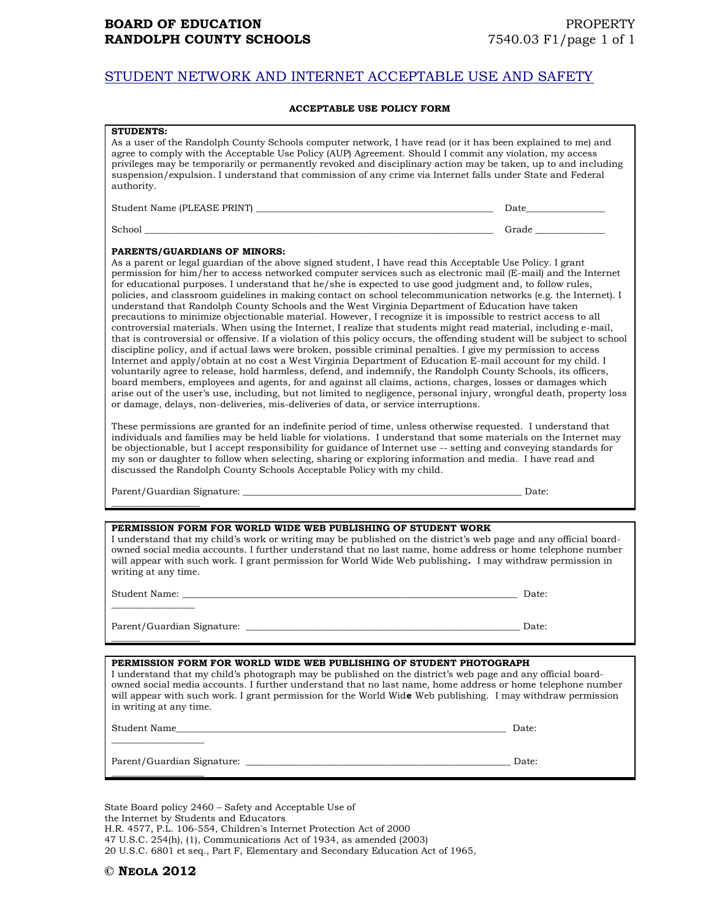## STUDENT NETWORK AND INTERNET ACCEPTABLE USE AND SAFETY

## **ACCEPTABLE USE POLICY FORM**

| <b>STUDENTS:</b><br>As a user of the Randolph County Schools computer network, I have read (or it has been explained to me) and<br>agree to comply with the Acceptable Use Policy (AUP) Agreement. Should I commit any violation, my access<br>privileges may be temporarily or permanently revoked and disciplinary action may be taken, up to and including<br>suspension/expulsion. I understand that commission of any crime via Internet falls under State and Federal<br>authority.                                                                                                                                                                                                                                                                                                                                                                                                                                                                                                                                                                                                                                                                                                                                                                                                                                                                                                                                                                                                                                                                                                                                                                                                                                                                                                                                                                                                                                                                                                                                                                                                                                                                                                               |       |
|---------------------------------------------------------------------------------------------------------------------------------------------------------------------------------------------------------------------------------------------------------------------------------------------------------------------------------------------------------------------------------------------------------------------------------------------------------------------------------------------------------------------------------------------------------------------------------------------------------------------------------------------------------------------------------------------------------------------------------------------------------------------------------------------------------------------------------------------------------------------------------------------------------------------------------------------------------------------------------------------------------------------------------------------------------------------------------------------------------------------------------------------------------------------------------------------------------------------------------------------------------------------------------------------------------------------------------------------------------------------------------------------------------------------------------------------------------------------------------------------------------------------------------------------------------------------------------------------------------------------------------------------------------------------------------------------------------------------------------------------------------------------------------------------------------------------------------------------------------------------------------------------------------------------------------------------------------------------------------------------------------------------------------------------------------------------------------------------------------------------------------------------------------------------------------------------------------|-------|
|                                                                                                                                                                                                                                                                                                                                                                                                                                                                                                                                                                                                                                                                                                                                                                                                                                                                                                                                                                                                                                                                                                                                                                                                                                                                                                                                                                                                                                                                                                                                                                                                                                                                                                                                                                                                                                                                                                                                                                                                                                                                                                                                                                                                         |       |
|                                                                                                                                                                                                                                                                                                                                                                                                                                                                                                                                                                                                                                                                                                                                                                                                                                                                                                                                                                                                                                                                                                                                                                                                                                                                                                                                                                                                                                                                                                                                                                                                                                                                                                                                                                                                                                                                                                                                                                                                                                                                                                                                                                                                         |       |
| PARENTS/GUARDIANS OF MINORS:<br>As a parent or legal guardian of the above signed student, I have read this Acceptable Use Policy. I grant<br>permission for him/her to access networked computer services such as electronic mail (E-mail) and the Internet<br>for educational purposes. I understand that he/she is expected to use good judgment and, to follow rules,<br>policies, and classroom guidelines in making contact on school telecommunication networks (e.g. the Internet). I<br>understand that Randolph County Schools and the West Virginia Department of Education have taken<br>precautions to minimize objectionable material. However, I recognize it is impossible to restrict access to all<br>controversial materials. When using the Internet, I realize that students might read material, including e-mail,<br>that is controversial or offensive. If a violation of this policy occurs, the offending student will be subject to school<br>discipline policy, and if actual laws were broken, possible criminal penalties. I give my permission to access<br>Internet and apply/obtain at no cost a West Virginia Department of Education E-mail account for my child. I<br>voluntarily agree to release, hold harmless, defend, and indemnify, the Randolph County Schools, its officers,<br>board members, employees and agents, for and against all claims, actions, charges, losses or damages which<br>arise out of the user's use, including, but not limited to negligence, personal injury, wrongful death, property loss<br>or damage, delays, non-deliveries, mis-deliveries of data, or service interruptions.<br>These permissions are granted for an indefinite period of time, unless otherwise requested. I understand that<br>individuals and families may be held liable for violations. I understand that some materials on the Internet may<br>be objectionable, but I accept responsibility for guidance of Internet use -- setting and conveying standards for<br>my son or daughter to follow when selecting, sharing or exploring information and media. I have read and<br>discussed the Randolph County Schools Acceptable Policy with my child. |       |
|                                                                                                                                                                                                                                                                                                                                                                                                                                                                                                                                                                                                                                                                                                                                                                                                                                                                                                                                                                                                                                                                                                                                                                                                                                                                                                                                                                                                                                                                                                                                                                                                                                                                                                                                                                                                                                                                                                                                                                                                                                                                                                                                                                                                         |       |
|                                                                                                                                                                                                                                                                                                                                                                                                                                                                                                                                                                                                                                                                                                                                                                                                                                                                                                                                                                                                                                                                                                                                                                                                                                                                                                                                                                                                                                                                                                                                                                                                                                                                                                                                                                                                                                                                                                                                                                                                                                                                                                                                                                                                         |       |
| PERMISSION FORM FOR WORLD WIDE WEB PUBLISHING OF STUDENT WORK<br>I understand that my child's work or writing may be published on the district's web page and any official board-<br>owned social media accounts. I further understand that no last name, home address or home telephone number<br>will appear with such work. I grant permission for World Wide Web publishing. I may withdraw permission in<br>writing at any time.                                                                                                                                                                                                                                                                                                                                                                                                                                                                                                                                                                                                                                                                                                                                                                                                                                                                                                                                                                                                                                                                                                                                                                                                                                                                                                                                                                                                                                                                                                                                                                                                                                                                                                                                                                   |       |
|                                                                                                                                                                                                                                                                                                                                                                                                                                                                                                                                                                                                                                                                                                                                                                                                                                                                                                                                                                                                                                                                                                                                                                                                                                                                                                                                                                                                                                                                                                                                                                                                                                                                                                                                                                                                                                                                                                                                                                                                                                                                                                                                                                                                         | Date: |
|                                                                                                                                                                                                                                                                                                                                                                                                                                                                                                                                                                                                                                                                                                                                                                                                                                                                                                                                                                                                                                                                                                                                                                                                                                                                                                                                                                                                                                                                                                                                                                                                                                                                                                                                                                                                                                                                                                                                                                                                                                                                                                                                                                                                         | Date: |
|                                                                                                                                                                                                                                                                                                                                                                                                                                                                                                                                                                                                                                                                                                                                                                                                                                                                                                                                                                                                                                                                                                                                                                                                                                                                                                                                                                                                                                                                                                                                                                                                                                                                                                                                                                                                                                                                                                                                                                                                                                                                                                                                                                                                         |       |
| PERMISSION FORM FOR WORLD WIDE WEB PUBLISHING OF STUDENT PHOTOGRAPH<br>I understand that my child's photograph may be published on the district's web page and any official board-<br>owned social media accounts. I further understand that no last name, home address or home telephone number<br>will appear with such work. I grant permission for the World Wide Web publishing. I may withdraw permission<br>in writing at any time.                                                                                                                                                                                                                                                                                                                                                                                                                                                                                                                                                                                                                                                                                                                                                                                                                                                                                                                                                                                                                                                                                                                                                                                                                                                                                                                                                                                                                                                                                                                                                                                                                                                                                                                                                              |       |
|                                                                                                                                                                                                                                                                                                                                                                                                                                                                                                                                                                                                                                                                                                                                                                                                                                                                                                                                                                                                                                                                                                                                                                                                                                                                                                                                                                                                                                                                                                                                                                                                                                                                                                                                                                                                                                                                                                                                                                                                                                                                                                                                                                                                         | Date: |
|                                                                                                                                                                                                                                                                                                                                                                                                                                                                                                                                                                                                                                                                                                                                                                                                                                                                                                                                                                                                                                                                                                                                                                                                                                                                                                                                                                                                                                                                                                                                                                                                                                                                                                                                                                                                                                                                                                                                                                                                                                                                                                                                                                                                         | Date: |

State Board policy 2460 – Safety and Acceptable Use of the Internet by Students and Educators H.R. 4577, P.L. 106-554, Children's Internet Protection Act of 2000 47 U.S.C. 254(h), (1), Communications Act of 1934, as amended (2003) 20 U.S.C. 6801 et seq., Part F, Elementary and Secondary Education Act of 1965,